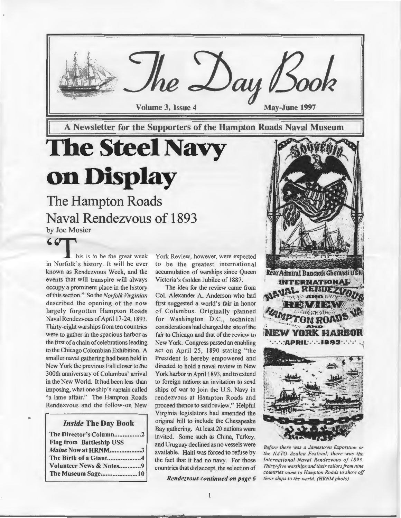

A Newsletter for the Supporters of the Hampton Roads Naval Museum

# **The Steel Navy on Display**

### The Hampton Roads Naval Rendezvous of 1893 by Joe Mosier

•

 $\begin{array}{c} \begin{array}{|c} \hline \textbf{1} & \textbf{2} \\ \textbf{2} & \textbf{3} \\ \textbf{3} & \textbf{4} \end{array} \end{array}$  his is to be the great week in Norfolk's history. lt will be ever known as Rendezvous Week, and the events that will transpire will always occupy a prominent place in the history of this section." So the *Norfolk Virginian*  described the opening of the now largely forgotten Hampton Roads Naval Rendezvous of April 17-24, 1893. Thirty-eight warships from ten countries were to gather in the spacious harbor as the first of a chain of celebrations leading to the Chicago Colombian Exhibition. A smaller naval gathering had been held in New York the previous Fall closer to the 300th anniversary of Columbus' arrival in the New World. It had been less than imposing, what one ship's captain called "a lame affair." The Hampton Roads Rendezvous and the follow-on New

*Inside* The Day Book

| The Director's Column2          |
|---------------------------------|
| <b>Flag from Battleship USS</b> |
| Maine Now at HRNM3              |
|                                 |
| Volunteer News & Notes9         |
| The Museum Sage10               |

York Review, however, were expected to be the greatest international accumulation of warships since Queen Victoria's Golden Jubilee of 1887.

The idea for the review came from Col. Alexander A. Anderson who had first suggested a world's fair in honor of Columbus. Originally planned for Washington D.C., technical considerations had changed the site of the fair to Chicago and that of the review to New York. Congress passed an enabling act on April 25, 1890 stating "the President is hereby empowered and directed to hold a naval review in New York harbor in April 1893, and to extend to foreign nations an invitation to send ships of war to join the U.S. Navy in rendezvous at Hampton Roads and proceed thence to said review." Helpful Virginia legislators had amended the original bill to include the Chesapeake Bay gathering. At least 20 nations were invited. Some such as China, Turkey, and Uruguay declined as no vessels were available. Haiti was forced to refuse by the fact that it had no navy. For those countries that did accept, the selection of

*Rendezvous continued on page 6* 



*Before there was a Jamestown Exposition or the NA TO Azalea Festival, there was the International Naval Rendezvous of 1893. Thirty-five warships and their sailors from nine countries came to Hampton Roads to show off their ships to the world. (HRNM photo)*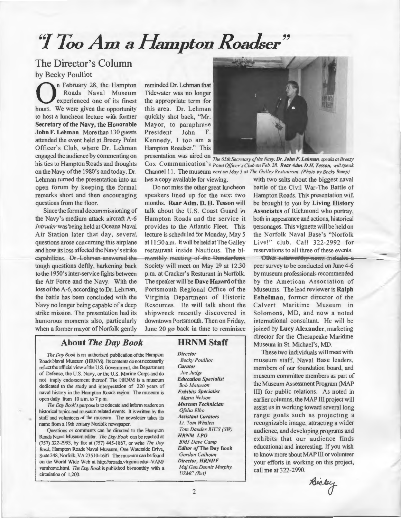## *''Y* Too Am a Hampton Roadser"

#### The Director's Column by Becky Poulliot

**On** February 28, the Hampton<br>
Roads Naval Museum<br>
experienced one of its finest<br>
hours We were given the encorporative Roads Naval Museum hours. We were given the opportunity to host a luncheon lecture with former Secretary of the Navy, the Honorable John F. Lehman. More than 130 guests attended the event held at Breezy Point Officer's Club, where Dr. Lehman engaged the audience by commenting on his ties to Hampton Roads and thoughts on the Navy of the 1980's and today. Dr. Lehman turned the presentation into an open forum by keeping the formal remarks short and then encouraging questions from the floor.

Since the formal decommissioning of the Navy's medium attack aircraft A-6 *Intruder* was being held at Oceana Naval Air Station later that day, several questions arose concerning this airplane and how its loss affected the Navy's strike capabilities. Dr. Lehman answered the tough questions deftly, harkening back to the 1950's inter-service fights between the Air Force and the Navy. With the loss of the A-6, according to Dr. Lehman, the battle has been concluded with the Navy no longer being capable of a deep strike mission. The presentation had its humorous moments also, particularly when a former mayor of Norfolk gently

reminded Dr. Lehman that Tidewater was no longer the appropriate term for this area. Dr. Lehman quickly shot back, "Mr. Mayor, to paraphrase President John F. Kennedy, I too am a Hampton Roadser." This

speakers lined up for the next two Hampton Roads. This presentation will months. Rear Adm. D. H. Tesson will be brought to you by Living History talk about the U.S. Coast Guard in Associates of Richmond who portray, Hampton Roads and the service it both in appearance and actions, historical provides to the Atlantic Fleet. This personages. This vignette will be held on lecture is scheduled for Monday, May 5 the Norfolk Naval Base's "Norfolk at 11:30 a.m. It will be held at The Galley Live!" club. Call 322-2992 for restaurant inside Nauticus. The bi- reservations to all three of these events. monthly-meeting of the Dunderfunk - Other noteworthy news includes a Society will meet on May 29 at 12:30 p.m. at Cracker's Resturant in Norfolk. The speaker will be Dave Hazard of the Portsmouth Regional Office of the Virginia Department of Historic Resources. He will talk about the shipwreck recently discovered in downtown Portsmouth. Then on Friday, June 20 go back in time to reminisce

#### About *The Day Book*

**HRNM Staff** 

*Director* 

*The Day Book* is an authorized publication of the Hampton Roads Naval Museum (HRNM). Its contents do not necessarily reflect the official viewofthe U.S. Government, the Department of Defense, the U.S. Navy, or the U.S. Marine Corps and do not imply endorsement thereof. The HRNM is a museum dedicated to the study and interpretation of 220 years of naval history in the Hampton Roads region. The museum is open daily from 10 a.m. to 7 p.m.

*The Day Book's* purpose is to educate and inform readers on historical topics and museum related events. It is written by the staff and volunteers of the museum. The newsletter takes its name from a 19th century Norfolk newspaper.

Questions or comments can be directed to the Hampton Roads Naval Museum editor. *The Day Book* can be reached at (757) 322·2993, by fax at (757) 445-I867, or write *The Day Book,* Hampton Roads Naval Museum, One Waterside Drive, Suite 248, Norfolk, VA 23510-1607. The museum can be found on the World Wide Web at http://xroads.virginia.edu/-VAM/ vanthome.html. *The Day Book* is published bi-monthly with a circulation of I,200.

*Becky Pou//iot Curator Joe Judge Education Specialist Bob Matteson Exhibits Specialist Marta Nelson Museum Technician Ofelia Elbo Assistant Curators*  Lt. *Tom Whalen Tom Dandes BTCS (SW) HRNM LPO 8M3 Dave Camp Editor of* The Day Book *Gordon Calhoun Director, HRNHF Maj.Gen.Dennis Murphy, USMC (Ret)* 



presentation was aired on *The 65th Secretary of the Navy, Dr. John* F. *Lehman, speaks at Breezy*  Cox Communication's *Point Officer's Club on Feb. 28. Rear Adm. D.H. Tesson, will speak* Channel I I. The museum *next on May 5 at The Galley Restaurant. (Photo by Becky Bump)* 

has a copy available for viewing. with two salts about the biggest naval Do not miss the other great luncheon battle of the Civil War-The Battle of

> peer survey to be conducted on June 4-6 by museum professionals recommended by the American Association of Museums. The lead reviewer is Ralph Eshelman, former director of the Calvert Maritime Museum in Solomons, MD, and now a noted international consultant. He will be joined by Lucy Alexander, marketing director for the Chesapeake Maritime Museum in St. Michael's, MD.

> These two individuals will meet with museum staff, Naval Base leaders, members of our foundation board, and museum committee members as part of the Museum Assessment Program (MAP III) for public relations. As noted in earlier columns, the MAP III project will assist us in working toward several long range goals such as projecting a recognizable image, attracting a wider audience, and developing programs and exhibits that our audience finds educational and interesting. If you wish to know more about MAP III or volunteer your efforts in working on this project, call me at 322-2990.

Bicky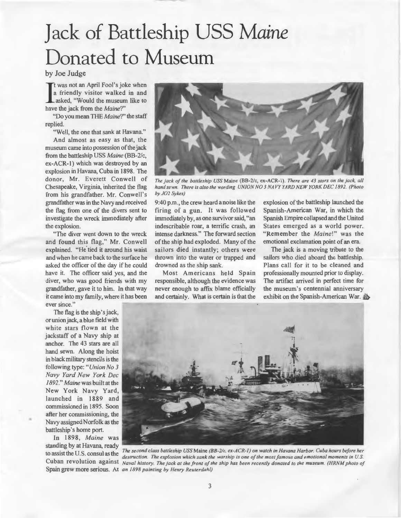# **Jack of Battleship USS** *Maine*  Donated to Museum

by Joe Judge

It was not an April Fool's jok<br>a friendly visitor walked<br>asked, "Would the museum<br>have the jack from the *Maine*?" t was not an April Fool's joke when a friendly visitor walked in and asked, "Would the museum like to

"Do you mean THE *Maine?"* the staff replied.

"Well, the one that sank at Havana."

And almost as easy as that, the museum came into possession of the jack from the battleship USS *Maine* (BB-2/c, ex-ACR-1) which was destroyed by an explosion in Havana, Cuba in 1898. The donor, Mr. Everett Conwell of Chesapeake, Virginia, inherited the flag from his grandfather. Mr. Conwell's grandfather was in the Navy and received the flag from one of the divers sent to investigate the wreck immediately after the explosion.

"The diver went down to the wreck and found this flag," Mr. Conwell explained. "He tied it around his waist and when he came back to the surface he asked the officer of the day if he could have it. The officer said yes, and the diver, who was good friends with my grandfather, gave it to him. In that way it came into my family, where it has been ever since."

The flag is the ship's jack, or union jack, a blue field with white stars flown at the jackstaff of a Navy ship at anchor. The 43 stars are all hand sewn. Along the hoist in black military stencils is the following type: *"Union No 3 Navy Yard New York Dec 1892." Maine* was built at the New York Navy Yard, launched in 1889 and commissioned in 1895. Soon after her commissioning, the Navy assigned Norfolk as the battleship's home port.

In 1898, *Maine* was standing by at Havana, ready

•



*The jack of the ballleship USS* Maine (BB-2/c, ex-ACR-1). *There are 43 stars on the jack. all hand sewn. There is also the wording UNION NO 3 NAVY YARD NEW YORK DEC 1892. (Photo by J02 Sykes)* 

9:40 p.m., the crew heard a noise like the firing of a gun. lt was followed immediately by, as one survivor said, "an indescribable roar, a terrific crash, an intense darkness." The forward section of the ship had exploded. Many of the sailors died instantly; others were thrown into the water or trapped and drowned as the ship sank.

Most Americans held Spain responsible, although the evidence was never enough to affix blame officially and certainly. What is certain is that the

explosion of the battleship launched the Spanish-American War, in which the Spanish Empire collapsed and the United States emerged as a world power. "Remember the *Maine!"* was the emotional exclamation point of an era.

The jack is a moving tribute to the sailors who died aboard the battleship. Plans call for it to be cleaned and professionally mounted prior to display. The artifact arrived in perfect time for the museum's centennial anniversary exhibit on the Spanish-American War. *db-*



to assist the U.S. consul as the *The second class ballleship USS* Maine *(88-2/c, ex-ACR-1) on watch in Havana Harbor. Cuba hours before her*  destruction. The explosion which sank the warship is one of the most famous and emotional moments in U.S. Cuban revolution against *Naval history. The jack at the front of the ship has been recently donated to the museum. (HRNM photo of* Spain grew more serious. At *an 1898 painting by Henry Reuterdahl)*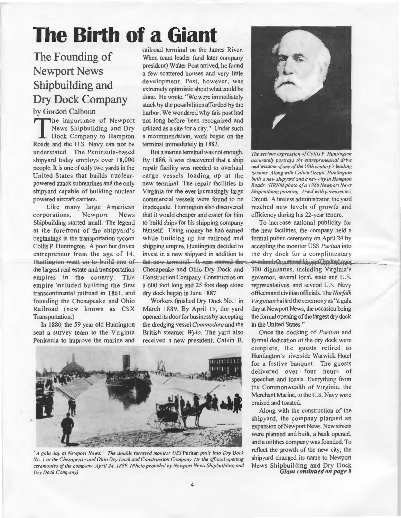## **The Birth of a Giant**

### The Founding of Newport News Shipbuilding and Dry Dock Company by Gordon Calhoun

The importance of Newport News Shipbuilding and Dry Dock Company to Hampton Roads and the U.S. Navy can not be understated. The Peninsula-based shipyard today employs over 18,000 people. It is one of only two yards in the United States that builds nuclearpowered attack submarines and the only shipyard capable of building nuclear powered aircraft carriers.

Like many large American corporations, Newport News Shipbuilding started small. The legend at the forefront of the shipyard's beginnings is the transportation tycoon Collis P. Huntington. A poor but driven entrepreneur from the age of 14, Huntington went on to build one of the largest real estate and transportation empires in the country. This empire included building the first transcontinental railroad in 1861, and founding the Chesapeake and Ohio Railroad (now known as CSX Transportation.)

In 1880, the 59 year old Huntington sent a survey team to the Virginia Peninsula to improve the marine and

railroad terminal on the James River. When team leader (and later company president) Walter Post arrived, he found a few scattered houses and very little development. Post, however, was extremely optimistic about what could be done. He wrote, "We were immediately stuck by the possibilities afforded by the harbor. We wondered why this post had not long before been recognized and utilized as a site for a city." Under such a recommendation, work began on the terminal immediately in 1882.

But a marine terminal was not enough. *The serious expression of Collis P. Huntington*  By 1886, it was discovered that a ship *accurately portrays the entrepreneurial drive*<br>repair facility was needed to overhaul *and wisdom of one of the 19th century's leading* repair facility was needed to overhaul *and wisdom of one of the 19th century's leading*<br>cannot year and the *tycoons. Along with Calvin Orcutt*, Huntington cargo vessels loading up at the *becoons. Along with Calvin Orcuit, Huntington* <br>hew terminal. The repair facilities in *boads (HRNM photo of a 1986 Newport News* new terminal. The repair facilities in *Roads. (HRNM photo of a 1986 Newport News Virginia for the ever increasingly large Shipbuilding painting. Used with permission.)* commercial vessels were found to be Orcutt. A tireless administrator, the yard inadequate. Huntington also discovered reached new levels of growth and that it would cheaper and easier for him efficiency during his 22-year tenure. to build ships for his shipping company To increase national publicity for himself. Using money he had earned the new facilities, the company held a while building up his railroad and formal public ceremony on April 24 by shipping empire, Huntington decided to accepting the monitor USS *Puritan* into invest in a new shipyard in addition to the dry dock for a complimentary the new terminal. It was named the were were left and his steff invited over<br>Chesapeake and Ohio Dry Dock and 300 dignitaries, including Virginia's Chesapeake and Ohio Dry Dock and 300 dignitaries, including Virginia's Construction Company. Construction on governor, several local, state and U.S. Construction Company. Construction on a 600 foot long and 25 foot deep stone representatives, and several U.S. Navy dry dock began in June 1887. officers and civilian officials. The *Norfolk* 

March 1889. By April 19, the yard day at Newport News, the occasion being opened its door for business by accepting the formal opening of the largest dry dock<br>the dredging vessel Commodore and the in the United States." the dredging vessel *Commodore* and the British steamer *Wylo.* The yard also Once the docking of *Puritan* and received a new president, Calvin B. formal dedication of the dry dock were



*"A gala day at Newport News.* " *The double turreted monitor USS* Puritan *pulls into Dry Dock No. I at the Chesapeake and Ohio Dry Dock and Construction Company for the official opening ceremonies of the company, April 24, 1889. (Photo provided by Newport News Shipbuilding and Dry Dock Company)* 



Shipbuilding painting. Used with permission.)

Workers fmished Dry Dock No.I in *Virginian* hailed the ceremony as "a gala

complete, the guests retired to Huntington's riverside Warwick Hotel for a festive banquet. The guests delivered over · four hours of speeches and toasts. Everything from the Commonwealth of Virginia, the Merchant Marine, to the U.S. Navy were praised and toasted.

Along with the construction of the shipyard, the company planned an expansion of Newport News. New streets were planned and built, a bank opened, and a utilities company was founded. To reflect the growth of the new city, the shipyard changed its name to Newport News Shipbuilding and Dry Dock *Giant continued on page 8*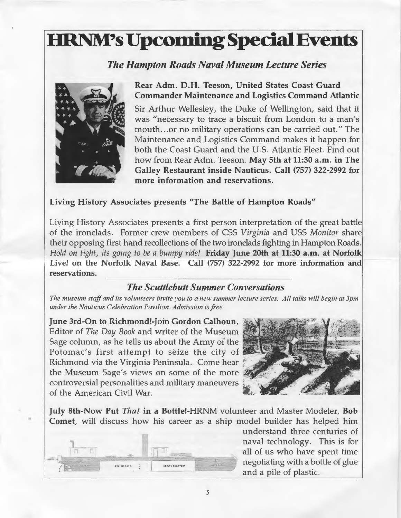## **HRNM's Upcoming Special Events**

### *The Hampton Roads Naval Museum Lecture Series*



•

Rear Adm. D.H. Teeson, United States Coast Guard Commander Maintenance and logistics Command Atlantic Sir Arthur Wellesley, the Duke of Wellington, said that it was "necessary to trace a biscuit from London to a man's mouth ... or no military operations can be carried out." The Maintenance and Logistics Command makes it happen for both the Coast Guard and the U.S. Atlantic Fleet. Find out how from Rear Adm. Teeson. May 5th at 11:30 a.m. in The Galley Restaurant inside Nauticus. Call (757) 322-2992 for more information and reservations.

#### Living History Associates presents "The Battle of Hampton Roads"

Living History Associates presents a first person interpretation of the great battle of the ironclads. Former crew members of CSS *Virginia* and USS *Monitor* share their opposing first hand recollections of the two ironclads fighting in Hampton Roads. *Hold on tight, its going to be a bumpy ride!* Friday June 20th at 11:30 a.m. at Norfolk Live! on the Norfolk Naval Base. Call (757) 322-2992 for more information and reservations.

#### *The Scuttlebutt Summer Conversations*

*The museum staff and its volunteers invite you to a new summer lecture series. All talks will begin at Jpm under the Nauticus Celebration Pavilion. Admission is free.* 

June 3rd-On to Richmond!-Join Gordon Calhoun, Editor of *The Day Book* and writer of the Museum · Sage column, as he tells us about the Army of the Potomac's first attempt to seize the city of Richmond via the Virginia Peninsula. Come hear the Museum Sage's views on some of the more controversial personalities and military maneuvers of the American Civil War.



July 8th-Now Put *That* in a Bottle!-HRNM volunteer and Master Modeler, Bob Comet, will discuss how his career as a ship model builder has helped him



understand three centuries of naval technology. This is for all of us who have spent time negotiating with a bottle of glue and a pile of plastic.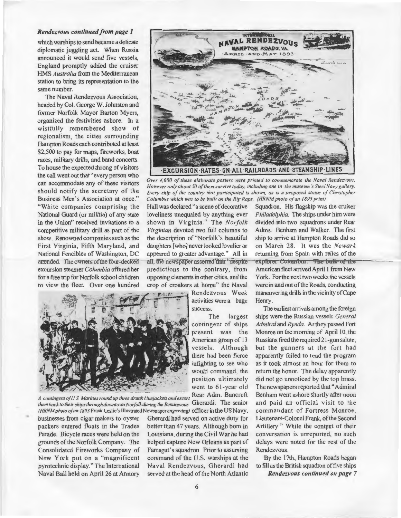#### *Rendezvous continued from page 1*

which warships to send became a delicate diplomatic juggling act. When Russia announced it would send five vessels, England promptly added the cruiser HMS *Australia* from the Mediterranean station to bring its representation to the same number.

The Naval Rendezvous Association, headed by Col. George W. Johnston and former Norfolk Mayor Barton Myers, organized the festivities ashore. In a wistfully remembered show of regionalism, the cities surrounding Hampton Roads each contributed at least \$2,500 to pay for maps, fireworks, boat races, military drills, and band concerts. To house the expected throng of visitors the call went out that "every person who can accommodate any of these visitors should notify the secretary of the Business Men's Association at once." "White companies comprising the National Guard (or militia) of any state in the Union" received invitations to a competitive military drill as part of the show. Renowned companies such as the First Virginia, Fifth Maryland, and National Fencibles of Washington, DC attended. The owners of the four-decked excursion steamer *Columbia* offered her for a free trip for Norfolk school children to view the fleet. Over one hundred



NAVAL RENDEZVOU **HAMPTON ROADS VA PRIL AND MAY 1893** 



A contingent of U.S. Marines round up three drunk bluejackets and escort Rear Adm. Bancroft Benham went ashore shortly after noon<br>them back to their ships through downtown Norfolk during the Rendezvous. Gherardi. The senio *them back to their ships through downtown Norfolk during the Rendezvous.* Gherardi. The senior

businesses from cigar makers to oyster Gherardi had served on active duty for Lieutenant-Colonel Frank, of the Second packers entered floats in the Trades better than 47 years. Although born in Artillery." While the content of their Parade. Bicycle races were held on the Louisiana, during the Civil War he had conversation is unreported, no such grounds of the Norfolk Company. The helped capture New Orleans as part of delays were noted for the rest of the Consolidated Fireworks Company of Farragut's squadron. Prior to assuming Rendezvous. New York put on a "magnificent command of the U.S. warships at the By the 17th, Hampton Roads began pyrotechnic display." The International Naval Rendezvous, Gherardi had to fill as the British squadron of five ships Naval Ball held on April 26 at Armory served at the head of the North Atlantic *Rendezvous continued on page* 7

*Virginian* devoted two full columns to Adms. Benham and Walker. The first the description of "Norfolk's beautiful ship to arrive at Hampton Roads did so daughters[who]neverlookedlovelieror on March 28. It was the *Newark*  appeared to greater advantage." All in returning from Spain with relics of the all, the newspaper asserted that "despite" explorer Columbus. The bulk of the predictions to the contrary, from American fleet arrived April 1 from New opposing elements in other cities, and the York. For the next two weeks the vessels crop of croakers at home" the Naval were in and out of the Roads, conducting Rendezvous Week maneuvering drills in the vicinity of Cape

success. The earliest arrivals among the foreign The largest ships were the Russian vessels *General*  contingent of ships *Admiral* and *Rynda*. As they passed Fort present was the Monroe on the morning of April 10, the American group of 13 Russians fired the required 21-gun salute, vessels. Although but the gunners at the fort had there had been fierce apparently failed to read the program infighting to see who as it took almost an hour for them to would command, the return the honor. The delay apparently position ultimately did not go unnoticed by the top brass. went to 61-year old The newspapers reported that "Admiral" *(HRNMphoto of an 1893* Frank Leslie's Illustrated Newspaper *engraving)* officer in the US Navy, commandant of Fortress Monroe,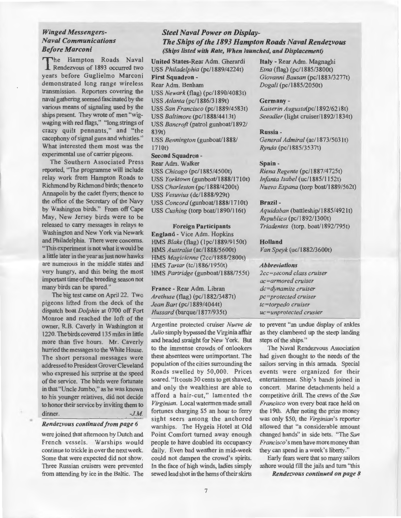#### *Winged Messengers-Naval Communications Before Marconi*

The Hampton Roads Naval **Rendezvous of 1893 occurred two** years before Guglielmo Marconi demonstrated long range wireless transmission. Reporters covering the naval gathering seemed fascinated by the various means of signaling used by the ships present. They wrote of men "wigwaging with red flags," "long strings of crazy quilt pennants," and "the cacophony of signal guns and whistles." What interested them most was the experimental use of carrier pigeons.

The Southern Associated Press reported, "The programme will include relay work from Hampton Roads to Richmond by Richmond birds; thence to Annapolis by the cadet flyers; thence to the office of the Secretary of the Navy by Washington birds." From off Cape May, New Jersey birds were to be released to carry messages in relays to Washington and New York via Newark and Philadelphia. There were concerns. "This experiment is not what it would be a little later in the year as just now hawks are numerous in the middle states and very hungry, and this being the most important time ofthe breeding season not many birds can be spared."

The big test came on April 22. Two pigeons lifted from the deck of the dispatch boat *Dolphin* at 0700 off Fort Monroe and reached the loft of the owner, R.B. Caverly in Washington at 1220. The birds covered 135 miles in little more than five hours. Mr. Caverly hurried the messages to the White House. The short personal messages were addressed to President Grover Cleveland who expressed his surprise at the speed of the service. The birds were fortunate in that "Uncle Jumbo," as he was known to his younger relatives, did not decide to honor their service by inviting them to dinner. *-J.M.* 

#### *Rendezvous continued from page 6*

were joined that afternoon by Dutch and French vessels. Warships would continue to trickle in over the next week. Some that were expected did not show. Three Russian cruisers were prevented from attending by ice in the Baltic. The

#### *Steel Naval Power on Display-The Ships of the 1893 Hampton Roads Naval Rendezvous (Ships listed with Rate, When launched, and Displacement)*

USS *Philadelphia* (pc/1889/4224t) *Etna* (flag) (pc/1885/3800t) First Squadron - *Giovanni Bausan* (pc/1883/3277t) Rear Adm. Benham *Dogali* (pc/1885/2050t) USS *Newark* (flag) (pc/1890/4083t) USS Atlanta (pc/1886/3189t) USS *San Francisco* (pc/1889/4583t) USS *Baltimore* (pc/1888/4413t) USS *Bancroft* (patrol gunboat/1892/ 839t) USS *Bennington* (gunboat/1888/ 1710t) Second Squadron-Rear Adm. Walker USS *Chicago* (pc/1885/4500t)

USS Yorktown (gunboat/1888/1710t) USS *Charleston* (pc/1888/4200t) USS *Vesuvius* (dc/ 1888/929t) USS *Concord* (gunboat/1888/1710t) USS *Cushing* (torp boat/1890/116t)

#### Foreign Participants

England - Vice Adm. Hopkins HMS *Blake* (flag) (I pc/ 1889/9150t) HMS *Australia* (ac/1888/5600t) HMS *Magicienne* (2cc/1888/2800t) HMS Tartar (tc/1886/1950t) HMS *Partridge* (gunboat/1888/755t)

France- Rear Adm. Libran *Arethuse* (flag) (pc/1882/3487t) *Jean Bart* (pc/1889/4044t) *Hussard* (barque/ 1877/935t)

Argentine protected cruiser *Nueve de Julio* simply bypassed the Virginia affair and headed straight for New York. But to the immense crowds of onlookers these absentees were unimportant. The population of the cities surrounding the Roads swelled by 50,000. Prices soared. "It costs 30 cents to get shaved, and only the wealthiest are able to afford a hair-cut," lamented the *Virginian.* Local watermen made small fortunes charging \$5 an hour to ferry sight seers among the anchored warships. The Hygeia Hotel at Old Point Comfort turned away enough people to have doubled its occupancy daily. Even bad weather in mid-week could not dampen the crowd's spirits. In the face of high winds, ladies simply sewed lead shot in the hems of their skirts

United States-Rear Adm. Gherardi Italy- Rear Adm. Magnaghi

#### Germany-

*Kaiserin Augusta(pc/1892/6218t)*  Seeadler (light cruiser/1892/1834t)

#### Russia-

General Admiral (ac/1873/5031t) *Rynda* (pc/1885/3537t)

#### Spain-

*Riena Regente* (pc/ 1887/4725t) *Infanta Isabel* (uc/1885/1152t) *Nueva Espana* (torp boat/1889/562t)

#### Brazil-

Aquidaban (battleship/1885/4921t) *Republica* (pc/1892/1300t) *Triadentes* (torp. boat/1892/795t)

#### Holland

*Van Speyk* (uc/1882/3600t)

#### *Abbreviations*

*2cc=second class cruiser ac=armored cruiser dc=dynamite cruiser pc=protected cruiser tc=torpedo cruiser uc=unprotected crusier* 

to prevent "an undue display of ankles as they clambered up the steep landing steps of the ships."

The Naval Rendezvous Association had given thought to the needs of the sailors serving in this armada. Special events were organized for their entertainment. Ship 's bands joined in concert. Marine detachments held a competitive drill. The crews of the *San Francisco* won every boat race held on the 19th. After noting the prize money was only \$50, the *Virginian's* reporter allowed that "a considerable amount changed hands" in side bets. 'The *San Francisco's* men have more money than they can spend in a week's liberty."

Early fears were that so many sailors ashore would fill the jails and tum "this *Rendezvous continued on page 8*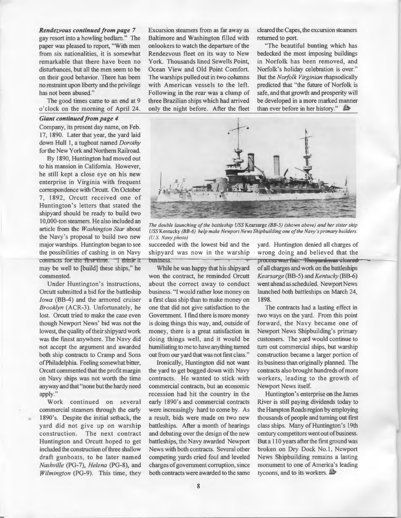*Rendezvous continued from page* 7 gay resort into a howling bedlam." The paper was pleased to report, "With men from six nationalities, it is somewhat remarkable that there have been no disturbances, but all the men seem to be on their good behavior. There has been no.restraint upon liberty and the privilege has not been abused."

The good times came to an end at 9 o'clock on the morning of April 24.

#### *Giant continued from page 4*

Company, its present day name, on Feb. 17, 1890. Later that year, the yard laid down Hull I, a tugboat named *Dorothy*  for the New York and Northern Railroad.

By 1890, Huntington had moved out to his mansion in California. However, he still kept a close eye on his new enterprise in Virginia with frequent correspondence with Orcutt. On October 7, 1892, Orcutt received one of Huntington's letters that stated the shipyard should be ready to build two 1 0,000-ton steamers. He also included an article from the *Washington Star* about the Navy's proposal to build two new major warships. Huntington began to see the possibilities of cashing in on Navy contracts for the first time. "I think it may be well to [build] these ships," he commented.

Under Huntington's instructions, Orcutt submitted a bid for the battleship *iowa* (BB-4) and the armored cruiser *Brooklyn* (ACR-3). Unfortunately, he lost. Orcutt tried to make the case even though Newport News' bid was not the lowest, the quality of their shipyard work was the finest anywhere. The Navy did not accept the argument and awarded both ship contracts to Cramp and Sons ofPhiladelphia. Feeling somewhat bitter, Orcutt commented that the profit margin on Navy ships was not worth the time anyway and that "none but the hardy need apply."

Work continued on several commercial steamers through the early 1890's. Despite the initial setback, the yard did not give up on warship construction. The next contract Huntington and Orcutt hoped to get included the construction of three shallow draft gunboats, to be later named *Nashville* (PG-7), *Helena* (PG-8), and *Wilmington* (PG-9). This time, they

Excursion steamers from as far away as Baltimore and Washington filled with onlookers to watch the departure of the Rendezvous fleet on its way to New York. Thousands lined Sewells Point, Ocean View and Old Point Comfort. The warships pulled out in two columns with American vessels to the left. Following in the rear was a clump of three Brazilian ships which had arrived only the night before. After the fleet

cleared the Capes, the excursion steamers returned to port.

"The beautiful bunting which has bedecked the most imposing buildings in Norfolk has been removed, and Norfolk's holiday celebration is over." But the *Norfolk Virginian* rhapsodically predicted that "the future of Norfolk is safe, and that growth and prosperity will be developed in a more marked manner than ever before in her history."



*The double launching of the battleship USS* Kearsarge *(BB-5) (shown above) and her sister ship USS* Kentucky *(BB-6) help make Newport News Shipbuilding one oft he Navy 's primary builders. (US Navy photo)* 

succeeded with the lowest bid and the yard. Huntington denied all charges of shipyard was now in the warship · wrong doing and believed that the

won the contract, he reminded Orcutt *Kearsarge* (BB-5) and *Kentucky* (BB-6) about the correct away to conduct went ahead as scheduled. Newport News business. "I would rather lose money on launched both battleships on March 24, a first class ship than to make money on 1898. one that did not give satisfaction to the The contracts had a lasting effect in Government. I find there is more money two ways on the yard. From this point is doing things this way, and, outside of forward, the Navy became one of money, there is a great satisfaction in Newport News Shipbuilding's primary doing things well, and it would be customers. The yard would continue to humiliating to me to have anything turned turn out commercial ships, but warship out from our yard that was not frrst class." construction became a larger portion of

the yard to get bogged down with Navy contracts also brought hundreds of more contracts. He wanted to stick with workers, leading to the growth of commercial contracts, but an economic Newport News itself. recession had hit the country in the Huntington's enterprise on the James early 1890's and commercial contracts River is still paying dividends today to were increasingly hard to come by. As the Hampton Roads region by employing a result, bids were made on two new thousands of people and turning out frrst battleships. After a month of hearings class ships. Many of Huntington's 19th and debating over the design of the new century competitors went out of business. battleships, the Navy awarded Newport But a 110 years after the first ground was News with both contracts. Several other broken on Dry Dock No.I, Newport competing yards cried foul and leveled News Shipbuilding remains a lasting charges of government corruption, since monument to one of America's leading both contracts were awarded to the same tycoons, and to its workers.  $\mathbf{\mathbf{\&}}$ 

business. **The years** was fair. The years, was cleared While he was happy that his shipyard of all charges and work on the battleships

Ironically, Huntington did not want its business than originally planned. The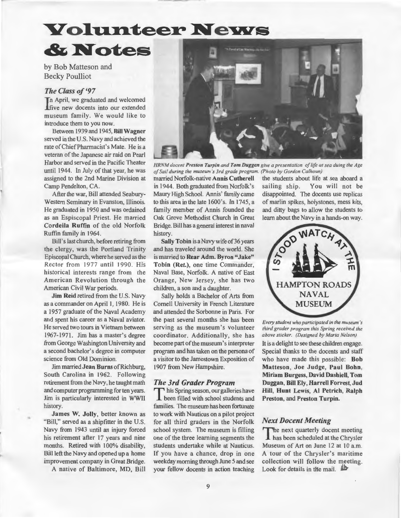### **Volunteer News**

by Bob Matteson and Becky Poulliot

#### *The Class of '97*

**T**n April, we graduated and welcomed lfive new docents into our extended museum family. We would like to introduce them to you now.

 $&$ **Notes** 

Between 1939 and 1945, Bill Wagner served in the U.S. Navy and achieved the rate of Chief Pharmacist's Mate. He is a veteran of the Japanese air raid on Pearl Harbor and served in the Pacific Theater until 1944. In July of that year, he was assigned to the 2nd Marine Division at Camp Pendelton, CA.

After the war, Bill attended Seabury-Western Seminary in Evanston, Illinois. He graduated in 1950 and was ordained as an Espiscopal Priest. He married Cordei1a Ruffin of the old Norfolk Ruffin family in 1964.

Bill's last church, before retiring from the clergy, was the Portland Trinity Episcopal Church, where he served as the Rector from 1977 until 1990. His historical interests range from the American Revolution through the American Civil War periods.

Jim Reid retired from the U.S. Navy as a commander on April I, 1980. He is a 1957 graduate of the Naval Academy and spent his career as a Naval aviator. He served two tours in Vietnam between 1967-1971. Jim has a master's degree from George Washington University and a second bachelor's degree in computer science from Old Dominion.

Jim married Jean Burns of Richburg, South Carolina in 1962. Following retirement from the Navy, he taught math and computer programming for ten years. Jim is particularly interested in WWII history.

James W. Jolly, better known as "Bill," served as a shipfitter in the U.S. Navy from 1943 until an injury forced his retirement after 17 years and nine months. Retired with 100% disability, Bill left the Navy and opened up a home improvement company in Great Bridge.

A native of Baltimore, MD, Bill



*HRNM docent Preston Turpin and Tom Duggan give a presentation of life at sea duing the Age of Sail during the museum 's 3rd grade program. (Photo by Gordon Calh oun)* 

married Norfolk-native Annis Cutherell the students about life at sea aboard a in 1944. Both graduated from Norfolk's sailing ship. You will not be Maury High School. Annis' family came disappointed. The docents use replicas to this area in the late 1600's. In 1745, a of marlin spikes, holystones, mess kits, family member of Annis founded the and ditty bags to allow the students to Oak Grove Methodist Church in Great learn about the Navy in a hands-on way. Bridge. Bill has a general interest in naval history.

Sally Tobin is a Navy wife of 36 years and has traveled around the world. She is married to Rear Adm. Byron "Jake" Tobin (Ret.), one time Commander, Naval Base, Norfolk. A native of East Orange, New Jersey, she has two children, a son and a daughter.

Sally holds a Bachelor of Arts from Cornell University in French Literature and attended the Sorbonne in Paris. For the past several months she has been serving as the museum's volunteer coordinator. Additionally, she has become part of the museum's interpreter program and has taken on the persona of a visitor to the Jamestown Exposition of 1907 from New Hampshire.

#### *The 3rd Grader Program*

This Spring season, our galleries have been filled with school students and families. The museum has been fortunate to work with Nauticus on a pilot project for all third graders in the Norfolk school system. The museum is filling one of the three learning segments the students undertake while at Nauticus. If you have a chance, drop in one weekday morning through June 5 and see your fellow docents in action teaching



*Every student who participated in the museum 's third grader program this Spring received the above sticker. (Designed by Marla Nelson)* 

It is a delight to see these children engage. Special thanks to the docents and staff who have made this possible: Bob Matteson, Joe Judge, Paul Bohn, Miriam Burgess, David Dashiell, Tom Duggan, Bill Ely, Harrell Forrest, Jud Hill, Hunt Lewis, AI Petrich, Ralph Preston, and Preston Turpin.

#### *Next Docent Meeting*

The next quarterly docent meeting has been scheduled at the Chrysler Museum of Art on June 12 at 10 a.m. A tour of the Chrysler's maritime collection will follow the meeting. Look for details in the mail.  $\mathbb{\mathbb{R}}$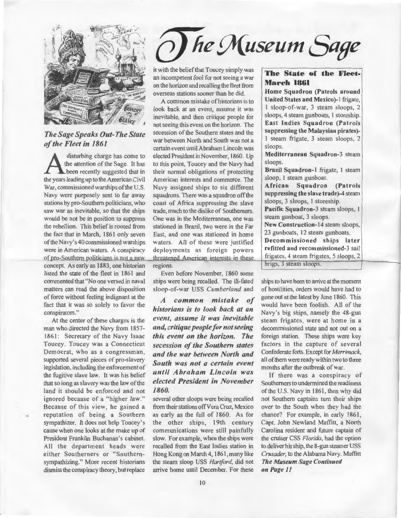

*The Sage Speaks Out-The State ofthe Fleet in 1861* 

disturbing charge has come to<br>the attention of the Sage. It has<br>the vears leading up to the American Civil the attention of the Sage. It has been recently suggested that in the years leading up to the American Civil War, commissioned warships of the U.S. Navy were purposely sent to far away stations by pro-Southern politicians, who saw war as inevitable, so that the ships would be not be in position to suppress the rebellion. This belief is rooted from the fact that in March, 1861 only seven of the Navy's 40 commissioned warships were in American waters. A conspiracy of pro-Southern politicians is not a new concept. As early as 1883, one historian listed the state of the fleet in 1861 and commented that "No one versed in naval matters can read the above disposition of force without feeling indignant at the fact that it was so solely to favor the conspirators."

At the center of these charges is the man who directed the Navy from 1857- 1861: Secretary of the Navy Isaac Toucey. Toucey was a Connecticut Democrat, who as a congressman, supported several pieces of pro-slavery legislation, including the enforcement of the fugitive slave law. It was his belief that so long as slavery was the law of the land it should be enforced and not ignored because of a "higher law." Because of this view, he gained a reputation of being a Southern sympathizer. It does not help Toucey's cause when one looks at the make up of President Franklin Buchanan's cabinet. All the department heads were either Southerners or "Southernsympathizing." More recent historians dismiss the conspiracy theory, but replace

•

# *fte Museum Sage*

it with the belief that Toucey simply was<br>an incompetent fool for not seeing a war<br>**The State of the Fleet-**<br>**March 1861** on the horizon and recalling the fleet from **March 1861**<br> **March 1861 Home Squadron (Patrols around 1861)** 

look back at an event, assume it was  $\begin{bmatrix} 1 & s \end{bmatrix}$  sloop-of-war, 3 steam sloops, 2 inevitable and then critique people for sloops, 4 steam gunboats, 1 storeship. inevitable, and then critique people for  $\begin{array}{|l|l|}\n\hline\n\text{sloops, 4 steam gunboats, 1 storeship.}\n\hline\n\text{not seeing this event on the horizon.} The$ not seeing this event on the horizon. The East Indies Squadron (Patrols<br>secession of the Southern states and the suppressing the Malaysian pirates)secession of the Southern states and the suppressing the Malaysian pirates)-<br>suar between North and South was not a 1 steam frigate, 3 steam sloops, 2 war between North and South was not a I steam frigate , 3 steam sloops, 2 certain event until Abraham Lincoln was  $\begin{array}{|l|l|l|}\n\hline\n\text{sloops.} \\
\text{elected President in November 1860.} \quad \text{Mealiterranean Squadron-3 steam}\n\end{array}$ elected President in November, 1860. Up **Mediterranean Steam Solution-3** sloops. to this point, Toucey and the Navy had  $\left\{\n \begin{array}{l}\n \text{sloops.} \\
 \text{Brazil Squadron-1 fridge, 1 steam}\n \end{array}\n \right\}$ their normal obligations of protecting  $\begin{array}{c} \textbf{B} \textbf{r} \textbf{azil} \textbf{S} \textbf{quadron-l} \textbf{trig} \\ \textbf{A} \textbf{merican interest and commerce} \textbf{The} \textbf{S} \textbf{loop, I} \textbf{steam gunboat.} \end{array}$ American interests and commerce. The  $\begin{array}{c} \text{Sloop, 1 steam gunboat.} \\ \text{African} \text{Squadron} \end{array}$  (Patrols Navy assigned ships to six different  $\begin{array}{|c|c|c|c|}\n\end{array}$  African Squadron (Patrols squadrons There was a squadron of the suppressing the slave trade)-4 steam squadrons. There was a squadron off the suppressing the slave trade-<br>coast of Africa suppressing the slave sloops, 3 sloops, 1 storeship. coast of Africa suppressing the slave  $\left\{\n \begin{array}{l}\n \text{sloops, 3 sloops, 1 storeship.}\n \text{trade much to the dislike of Southerners\n} \end{array}\n \right.\n \text{ Pacific Squadron-3 steam slopes, 1}$ trade, much to the dislike of Southerners. Pacific Squadron-3 steam<br>One was in the Mediterranean one was<br>steam gunboat, 3 sloops. One was in the Mediterranean, one was steam gunboat, 3 sloops.<br>stationed in Brazil, two were in the Early New Construction-14 steam sloops. stationed in Brazil, two were in the Far New Construction-14 steam sloops Fast and one was stationed in home  $\begin{array}{c|c} \text{New Construction-14 steam slots.} \\ \end{array}$ East, and one was stationed in home  $\begin{array}{|c|c|c|c|c|} \hline 23$  gunboats, 12 steam gunboats.<br>Waters All of these were justified **Decommissioned ships later** waters. All of these were justified **Decommissioned ships later**<br>deployments as foreign powers **refitted and recommissioned-3** sail deployments as foreign powers refitted and recommissioned-3 sail<br>threatened American interests in these frigates, 4 steam frigates, 5 sloops, 2 threatened American interests in these regions.

Even before November, 1860 some ships were being recalled. The ill-fated sloop-of-war USS *Cumberland* and

*A common mistake of historians is to look back at an event, assume it was inevitable and, critique people for not seeing this event on the horizon. The secession of the Southern states and the war between North and South was not a certain event until Abraham Lincoln was elected President in November 1860.* 

several other sloops were being recalled from their stations off Vera Cruz, Mexico as early as the fall of 1860. As for the other ships, 19th century communications were still painfully slow. For example, when the ships were recalled from the East Indies station in Hong Kong on March 4, 1861, many like the steam sloop USS *Hartford,* did not arrive home until December. For these

overseas stations sooner than he did. Home Squadron (Patrols around<br>A common mistake of historians is to United States and Mexico)-1 frigate, A common mistake of historians is to United States and Mexico)-1 frigate,<br>the back at an event assume it was  $\frac{1 \text{ sloop-of-war}}{1 \text{ sloop-of-war}}$ , 3 steam sloops, 2

brigs, 3 steam sloops.

ships to have been to arrive at the moment of hostilities, orders would have had to gone out at the latest by June 1860. This would have been foolish. All of the Navy's big ships, namely the 48-gun steam frigates, were at home in a decommissioned state and not out on a foreign station. These ships were key factors in the capture of several Confederate forts. Except for *Merrimack,*  all ofthem were ready within two to three months after the outbreak of war.

If there was a conspiracy of Southerners to undermined the readiness of the U.S. Navy in 1861, then why did not Southern captains tum their ships over to the South when they had the chance? For example, in early 1861, Capt. John Newland Maffitt, a North Carolina resident and future captain of the cruiser CSS *Florida,* had the option to deliver his ship, the 8-gun steamer USS *Crusader,* to the Alabama Navy. Maffitt *The Museum Sage Continued on Page II*